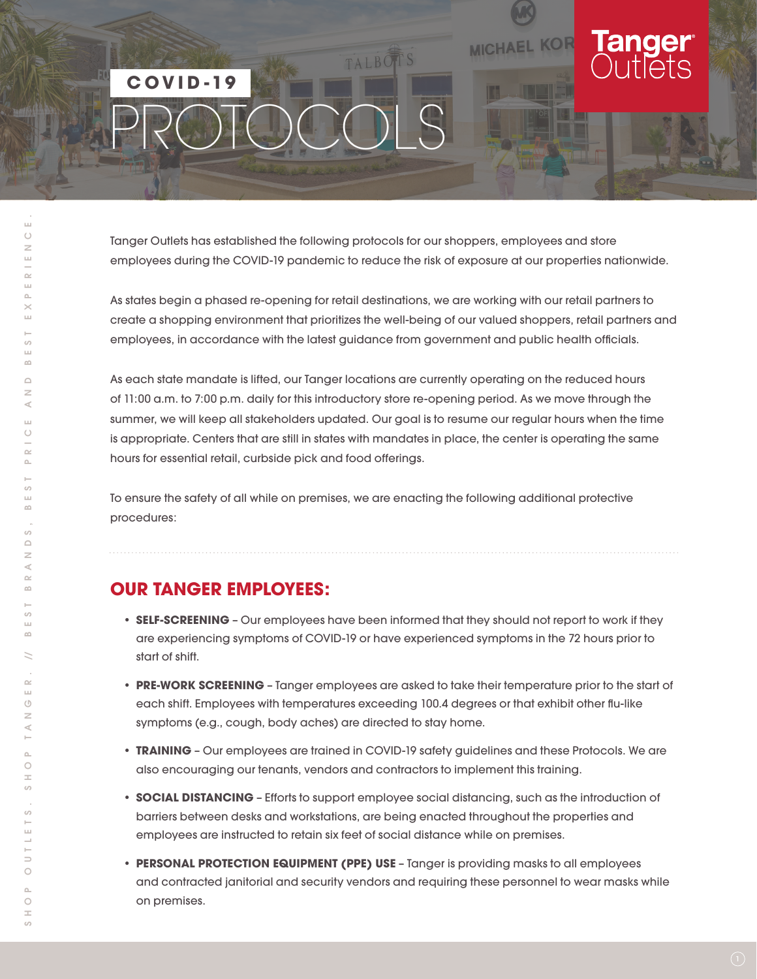### TALBOTS  **COVID-19** PROTOCOLS

Tanger Outlets has established the following protocols for our shoppers, employees and store employees during the COVID-19 pandemic to reduce the risk of exposure at our properties nationwide.

**MICHAEL KOR** 

As states begin a phased re-opening for retail destinations, we are working with our retail partners to create a shopping environment that prioritizes the well-being of our valued shoppers, retail partners and employees, in accordance with the latest guidance from government and public health officials.

As each state mandate is lifted, our Tanger locations are currently operating on the reduced hours of 11:00 a.m. to 7:00 p.m. daily for this introductory store re-opening period. As we move through the summer, we will keep all stakeholders updated. Our goal is to resume our regular hours when the time is appropriate. Centers that are still in states with mandates in place, the center is operating the same hours for essential retail, curbside pick and food offerings.

To ensure the safety of all while on premises, we are enacting the following additional protective procedures:

#### **OUR TANGER EMPLOYEES:**

- **SELF-SCREENING** Our employees have been informed that they should not report to work if they are experiencing symptoms of COVID-19 or have experienced symptoms in the 72 hours prior to start of shift.
- **PRE-WORK SCREENING** Tanger employees are asked to take their temperature prior to the start of each shift. Employees with temperatures exceeding 100.4 degrees or that exhibit other flu-like symptoms (e.g., cough, body aches) are directed to stay home.
- **TRAINING** Our employees are trained in COVID-19 safety guidelines and these Protocols. We are also encouraging our tenants, vendors and contractors to implement this training.
- **SOCIAL DISTANCING** Efforts to support employee social distancing, such as the introduction of barriers between desks and workstations, are being enacted throughout the properties and employees are instructed to retain six feet of social distance while on premises.
- **PERSONAL PROTECTION EQUIPMENT (PPE) USE** Tanger is providing masks to all employees and contracted janitorial and security vendors and requiring these personnel to wear masks while on premises.

 $\bar{\omega}$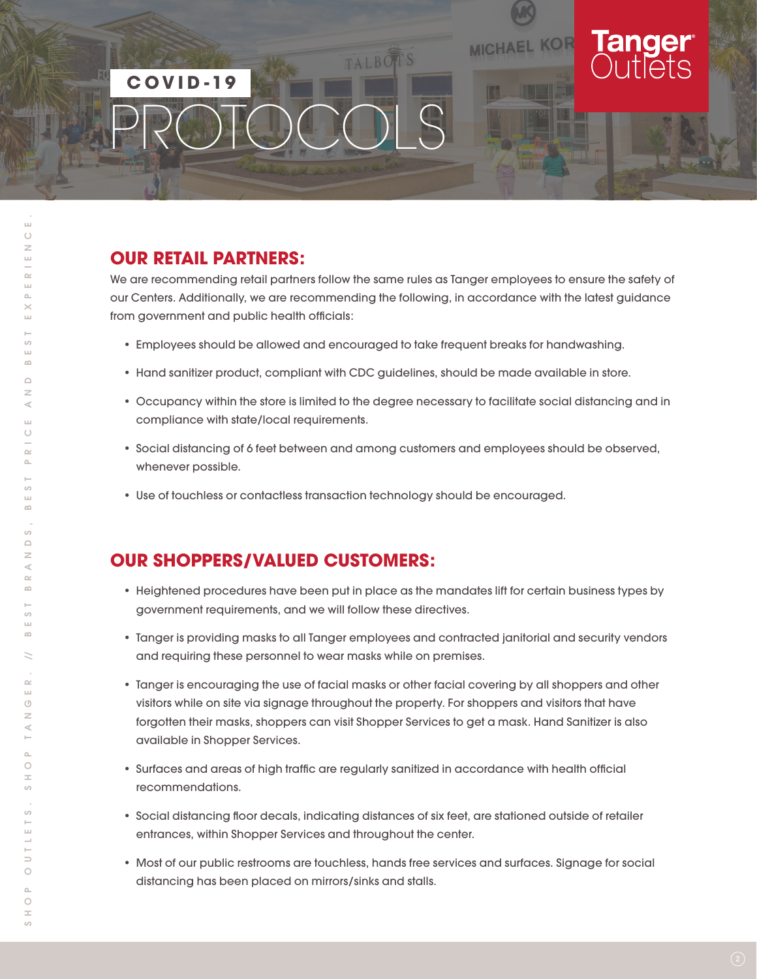# TALBOTS  **COVID-19** PROTOCOLS

#### **OUR RETAIL PARTNERS:**

We are recommending retail partners follow the same rules as Tanger employees to ensure the safety of our Centers. Additionally, we are recommending the following, in accordance with the latest guidance from government and public health officials:

**MICHAEL KOR** 

- Employees should be allowed and encouraged to take frequent breaks for handwashing.
- Hand sanitizer product, compliant with CDC guidelines, should be made available in store.
- Occupancy within the store is limited to the degree necessary to facilitate social distancing and in compliance with state/local requirements.
- Social distancing of 6 feet between and among customers and employees should be observed, whenever possible.
- Use of touchless or contactless transaction technology should be encouraged.

#### **OUR SHOPPERS/VALUED CUSTOMERS:**

- Heightened procedures have been put in place as the mandates lift for certain business types by government requirements, and we will follow these directives.
- Tanger is providing masks to all Tanger employees and contracted janitorial and security vendors and requiring these personnel to wear masks while on premises.
- Tanger is encouraging the use of facial masks or other facial covering by all shoppers and other visitors while on site via signage throughout the property. For shoppers and visitors that have forgotten their masks, shoppers can visit Shopper Services to get a mask. Hand Sanitizer is also available in Shopper Services.
- Surfaces and areas of high traffic are regularly sanitized in accordance with health official recommendations.
- Social distancing floor decals, indicating distances of six feet, are stationed outside of retailer entrances, within Shopper Services and throughout the center.
- Most of our public restrooms are touchless, hands free services and surfaces. Signage for social distancing has been placed on mirrors/sinks and stalls.

 $\circ$ 

 $\bar{\omega}$